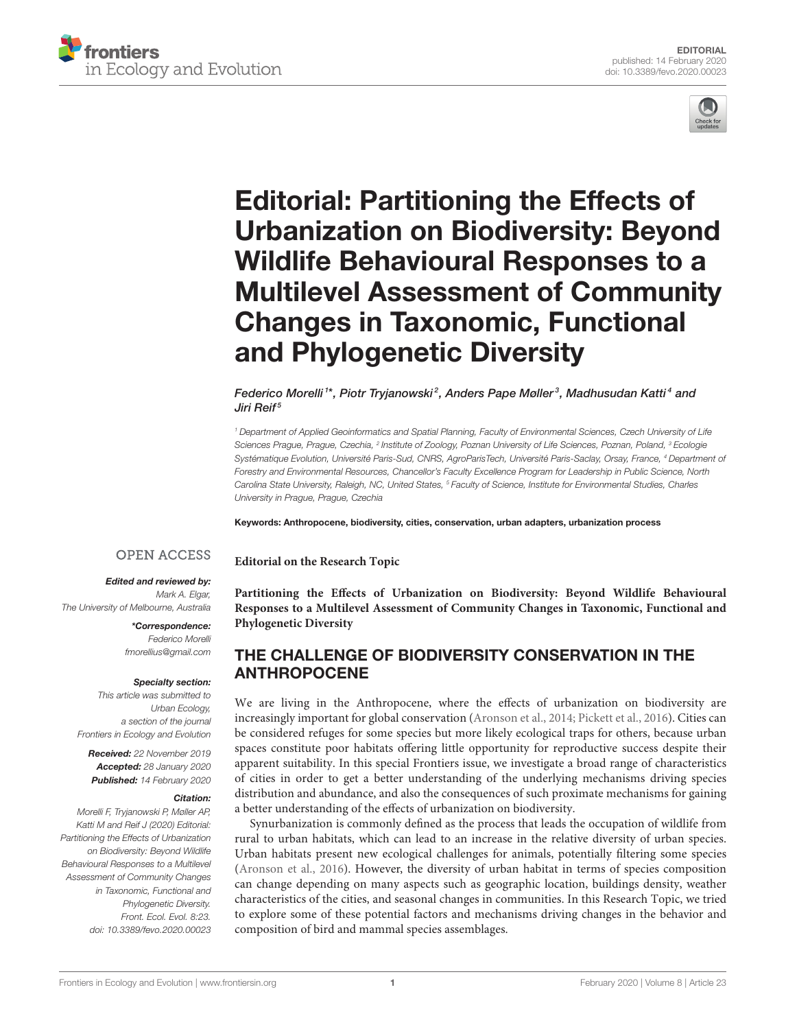



# Editorial: Partitioning the Effects of Urbanization on Biodiversity: Beyond Wildlife Behavioural Responses to a [Multilevel Assessment of Community](https://www.frontiersin.org/articles/10.3389/fevo.2020.00023/full) Changes in Taxonomic, Functional and Phylogenetic Diversity

#### [Federico Morelli](http://loop.frontiersin.org/people/244936/overview) $^{\mathrm{i}*}$ , [Piotr Tryjanowski](http://loop.frontiersin.org/people/447715/overview) $^2$ , [Anders Pape Møller](http://loop.frontiersin.org/people/201208/overview) $^3$ , [Madhusudan Katti](http://loop.frontiersin.org/people/465225/overview) $^4$  and [Jiri Reif](http://loop.frontiersin.org/people/90483/overview)<sup>5</sup>

<sup>1</sup> Department of Applied Geoinformatics and Spatial Planning, Faculty of Environmental Sciences, Czech University of Life Sciences Prague, Prague, Czechia, <sup>2</sup> Institute of Zoology, Poznan University of Life Sciences, Poznan, Poland, <sup>3</sup> Ecologie Systématique Evolution, Université Paris-Sud, CNRS, AgroParisTech, Université Paris-Saclay, Orsay, France, <sup>4</sup> Department of Forestry and Environmental Resources, Chancellor's Faculty Excellence Program for Leadership in Public Science, North Carolina State University, Raleigh, NC, United States, <sup>5</sup> Faculty of Science, Institute for Environmental Studies, Charles University in Prague, Prague, Czechia

Keywords: Anthropocene, biodiversity, cities, conservation, urban adapters, urbanization process

**Editorial on the Research Topic**

#### **OPEN ACCESS**

#### Edited and reviewed by:

Mark A. Elgar, The University of Melbourne, Australia

> \*Correspondence: Federico Morelli [fmorellius@gmail.com](mailto:fmorellius@gmail.com)

#### Specialty section:

This article was submitted to Urban Ecology, a section of the journal Frontiers in Ecology and Evolution

Received: 22 November 2019 Accepted: 28 January 2020 Published: 14 February 2020

#### Citation:

Morelli F, Tryjanowski P, Møller AP, Katti M and Reif J (2020) Editorial: Partitioning the Effects of Urbanization on Biodiversity: Beyond Wildlife Behavioural Responses to a Multilevel Assessment of Community Changes in Taxonomic, Functional and Phylogenetic Diversity. Front. Ecol. Evol. 8:23. doi: [10.3389/fevo.2020.00023](https://doi.org/10.3389/fevo.2020.00023) **Partitioning the Effects of Urbanization on Biodiversity: Beyond Wildlife Behavioural [Responses to a Multilevel Assessment of Community Changes in Taxonomic, Functional and](https://www.frontiersin.org/research-topics/6639/partitioning-the-effects-of-urbanization-on-biodiversity-beyond-wildlife-behavioural-responses-to-a) Phylogenetic Diversity**

## THE CHALLENGE OF BIODIVERSITY CONSERVATION IN THE ANTHROPOCENE

We are living in the Anthropocene, where the effects of urbanization on biodiversity are increasingly important for global conservation [\(Aronson et al., 2014;](#page-2-0) [Pickett et al., 2016\)](#page-2-1). Cities can be considered refuges for some species but more likely ecological traps for others, because urban spaces constitute poor habitats offering little opportunity for reproductive success despite their apparent suitability. In this special Frontiers issue, we investigate a broad range of characteristics of cities in order to get a better understanding of the underlying mechanisms driving species distribution and abundance, and also the consequences of such proximate mechanisms for gaining a better understanding of the effects of urbanization on biodiversity.

Synurbanization is commonly defined as the process that leads the occupation of wildlife from rural to urban habitats, which can lead to an increase in the relative diversity of urban species. Urban habitats present new ecological challenges for animals, potentially filtering some species [\(Aronson et al., 2016\)](#page-2-2). However, the diversity of urban habitat in terms of species composition can change depending on many aspects such as geographic location, buildings density, weather characteristics of the cities, and seasonal changes in communities. In this Research Topic, we tried to explore some of these potential factors and mechanisms driving changes in the behavior and composition of bird and mammal species assemblages.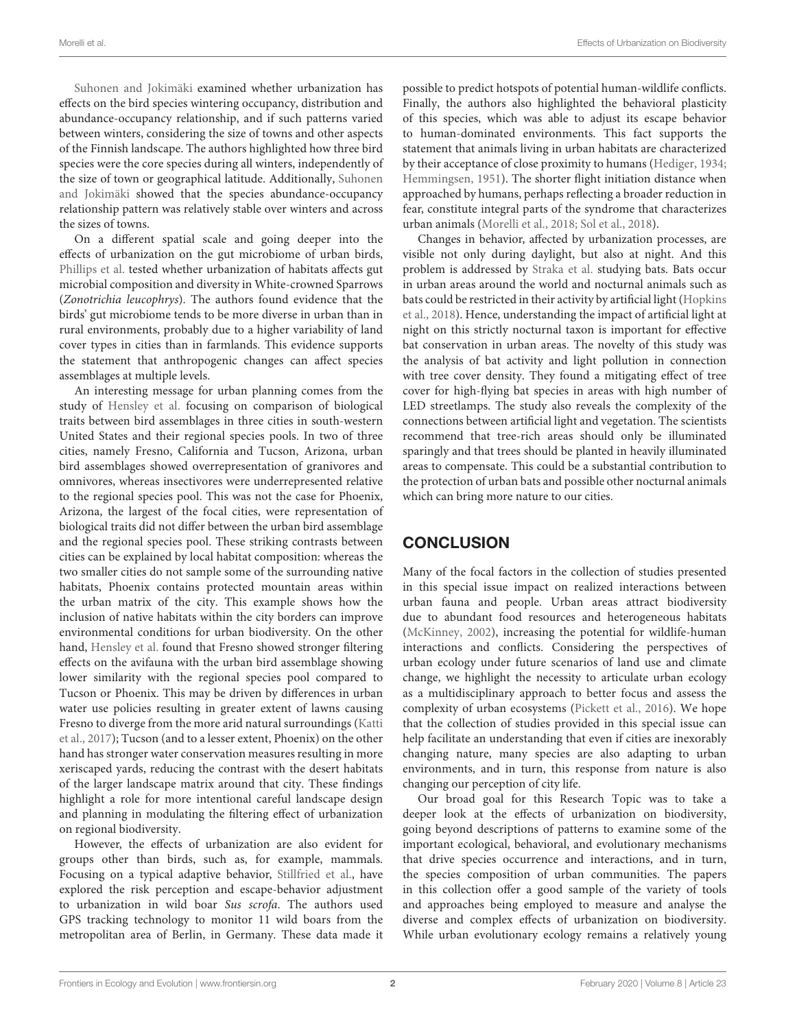[Suhonen and Jokimäki](https://doi.org/10.3389/fevo.2019.00129) examined whether urbanization has effects on the bird species wintering occupancy, distribution and abundance-occupancy relationship, and if such patterns varied between winters, considering the size of towns and other aspects of the Finnish landscape. The authors highlighted how three bird species were the core species during all winters, independently of [the size of town or geographical latitude. Additionally,](https://doi.org/10.3389/fevo.2019.00129) Suhonen and Jokimäki showed that the species abundance-occupancy relationship pattern was relatively stable over winters and across the sizes of towns.

On a different spatial scale and going deeper into the effects of urbanization on the gut microbiome of urban birds, [Phillips et al.](https://doi.org/10.3389/fevo.2018.00148) tested whether urbanization of habitats affects gut microbial composition and diversity in White-crowned Sparrows (Zonotrichia leucophrys). The authors found evidence that the birds' gut microbiome tends to be more diverse in urban than in rural environments, probably due to a higher variability of land cover types in cities than in farmlands. This evidence supports the statement that anthropogenic changes can affect species assemblages at multiple levels.

An interesting message for urban planning comes from the study of [Hensley et al.](https://doi.org/10.3389/fevo.2019.00071) focusing on comparison of biological traits between bird assemblages in three cities in south-western United States and their regional species pools. In two of three cities, namely Fresno, California and Tucson, Arizona, urban bird assemblages showed overrepresentation of granivores and omnivores, whereas insectivores were underrepresented relative to the regional species pool. This was not the case for Phoenix, Arizona, the largest of the focal cities, were representation of biological traits did not differ between the urban bird assemblage and the regional species pool. These striking contrasts between cities can be explained by local habitat composition: whereas the two smaller cities do not sample some of the surrounding native habitats, Phoenix contains protected mountain areas within the urban matrix of the city. This example shows how the inclusion of native habitats within the city borders can improve environmental conditions for urban biodiversity. On the other hand, [Hensley et al.](https://doi.org/10.3389/fevo.2019.00071) found that Fresno showed stronger filtering effects on the avifauna with the urban bird assemblage showing lower similarity with the regional species pool compared to Tucson or Phoenix. This may be driven by differences in urban water use policies resulting in greater extent of lawns causing Fresno to diverge from the more arid natural surroundings (Katti et al., [2017\)](#page-2-3); Tucson (and to a lesser extent, Phoenix) on the other hand has stronger water conservation measures resulting in more xeriscaped yards, reducing the contrast with the desert habitats of the larger landscape matrix around that city. These findings highlight a role for more intentional careful landscape design and planning in modulating the filtering effect of urbanization on regional biodiversity.

However, the effects of urbanization are also evident for groups other than birds, such as, for example, mammals. Focusing on a typical adaptive behavior, [Stillfried et al.,](https://doi.org/10.3389/fevo.2017.00157) have explored the risk perception and escape-behavior adjustment to urbanization in wild boar Sus scrofa. The authors used GPS tracking technology to monitor 11 wild boars from the metropolitan area of Berlin, in Germany. These data made it possible to predict hotspots of potential human-wildlife conflicts. Finally, the authors also highlighted the behavioral plasticity of this species, which was able to adjust its escape behavior to human-dominated environments. This fact supports the statement that animals living in urban habitats are characterized by their acceptance of close proximity to humans [\(Hediger, 1934;](#page-2-4) [Hemmingsen, 1951\)](#page-2-5). The shorter flight initiation distance when approached by humans, perhaps reflecting a broader reduction in fear, constitute integral parts of the syndrome that characterizes urban animals [\(Morelli et al., 2018;](#page-2-6) [Sol et al., 2018\)](#page-2-7).

Changes in behavior, affected by urbanization processes, are visible not only during daylight, but also at night. And this problem is addressed by [Straka et al.](https://doi.org/10.3389/fevo.2019.00091) studying bats. Bats occur in urban areas around the world and nocturnal animals such as bats could be restricted in their activity by artificial light (Hopkins et al., [2018\)](#page-2-8). Hence, understanding the impact of artificial light at night on this strictly nocturnal taxon is important for effective bat conservation in urban areas. The novelty of this study was the analysis of bat activity and light pollution in connection with tree cover density. They found a mitigating effect of tree cover for high-flying bat species in areas with high number of LED streetlamps. The study also reveals the complexity of the connections between artificial light and vegetation. The scientists recommend that tree-rich areas should only be illuminated sparingly and that trees should be planted in heavily illuminated areas to compensate. This could be a substantial contribution to the protection of urban bats and possible other nocturnal animals which can bring more nature to our cities.

# **CONCLUSION**

Many of the focal factors in the collection of studies presented in this special issue impact on realized interactions between urban fauna and people. Urban areas attract biodiversity due to abundant food resources and heterogeneous habitats [\(McKinney, 2002\)](#page-2-9), increasing the potential for wildlife-human interactions and conflicts. Considering the perspectives of urban ecology under future scenarios of land use and climate change, we highlight the necessity to articulate urban ecology as a multidisciplinary approach to better focus and assess the complexity of urban ecosystems [\(Pickett et al., 2016\)](#page-2-1). We hope that the collection of studies provided in this special issue can help facilitate an understanding that even if cities are inexorably changing nature, many species are also adapting to urban environments, and in turn, this response from nature is also changing our perception of city life.

Our broad goal for this Research Topic was to take a deeper look at the effects of urbanization on biodiversity, going beyond descriptions of patterns to examine some of the important ecological, behavioral, and evolutionary mechanisms that drive species occurrence and interactions, and in turn, the species composition of urban communities. The papers in this collection offer a good sample of the variety of tools and approaches being employed to measure and analyse the diverse and complex effects of urbanization on biodiversity. While urban evolutionary ecology remains a relatively young